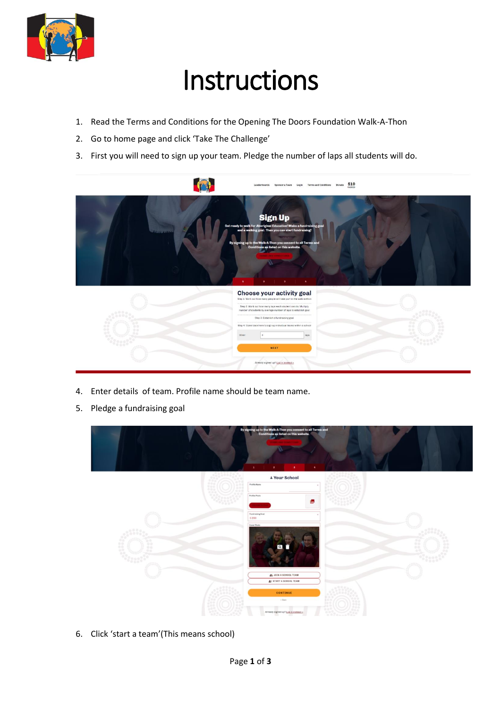

## Instructions

- 1. Read the Terms and Conditions for the Opening The Doors Foundation Walk-A-Thon
- 2. Go to home page and click 'Take The Challenge'
- 3. First you will need to sign up your team. Pledge the number of laps all students will do.



- 4. Enter details of team. Profile name should be team name.
- 5. Pledge a fundraising goal



6. Click 'start a team'(This means school)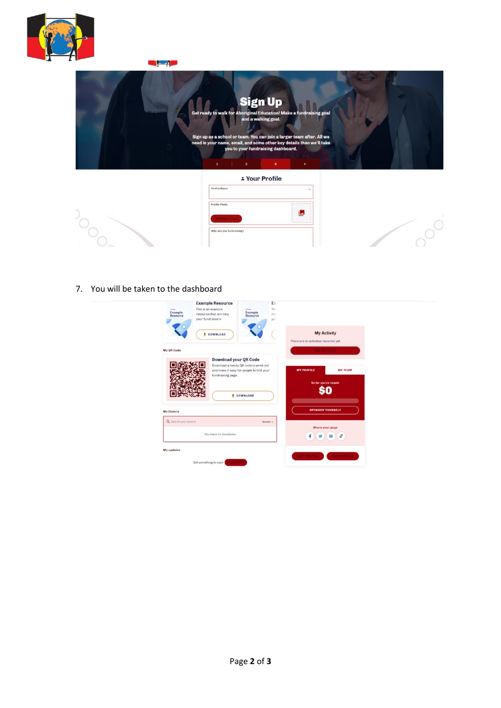

| -4                             |                                                                                                                                                                                                                                                                                                                                                                             |  |
|--------------------------------|-----------------------------------------------------------------------------------------------------------------------------------------------------------------------------------------------------------------------------------------------------------------------------------------------------------------------------------------------------------------------------|--|
| <b><i><u>COURSERVE</u></i></b> | <b>Sign Up</b><br>Get ready to walk for Aboriginal Education! Make a fundraising goal<br>and a walking goal.<br>Sign up as a school or team. You can join a larger team after. All we<br>need is your name, email, and some other key details then we'll take<br>you to your fundraising dashboard.<br>$\mathbf{a}$<br>$\overline{\mathbf{2}}$<br>$\mathbf{1}$<br>$\pmb{a}$ |  |
|                                | * Your Profile                                                                                                                                                                                                                                                                                                                                                              |  |
|                                | Profile Name                                                                                                                                                                                                                                                                                                                                                                |  |
|                                | -------------<br>Profile Photo<br>بعا                                                                                                                                                                                                                                                                                                                                       |  |
|                                | <b>HOORE A FILI</b>                                                                                                                                                                                                                                                                                                                                                         |  |
|                                | Why are you fundraising?                                                                                                                                                                                                                                                                                                                                                    |  |

7. You will be taken to the dashboard

| This is an example<br><b>Di Asiah</b><br><b>Example</b><br>resource that will help<br>Resource<br>your fundraisers<br><b><i>L</i></b> DOWNLOAD | Thi<br>P61<br>yoi.<br>There are no activities recorded yet. | <b>My Activity</b>                                                                            |                                                                           |
|------------------------------------------------------------------------------------------------------------------------------------------------|-------------------------------------------------------------|-----------------------------------------------------------------------------------------------|---------------------------------------------------------------------------|
|                                                                                                                                                |                                                             |                                                                                               |                                                                           |
|                                                                                                                                                |                                                             |                                                                                               |                                                                           |
|                                                                                                                                                |                                                             | <b>ADD ACTIVITY</b>                                                                           |                                                                           |
| <b>Download your QR Code</b><br>fundraising page.<br><b>+ DOWNLOAD</b>                                                                         | <b>MY PROFILE</b>                                           | <b>MY TEAM</b>                                                                                |                                                                           |
|                                                                                                                                                |                                                             |                                                                                               |                                                                           |
| You have no donations                                                                                                                          |                                                             |                                                                                               |                                                                           |
|                                                                                                                                                |                                                             | Download a handy QR code to print out<br>and make it easy for people to find your<br>Newest v | So far you've raised<br><b>SPONSOR YOURSELF</b><br><b>Share your page</b> |